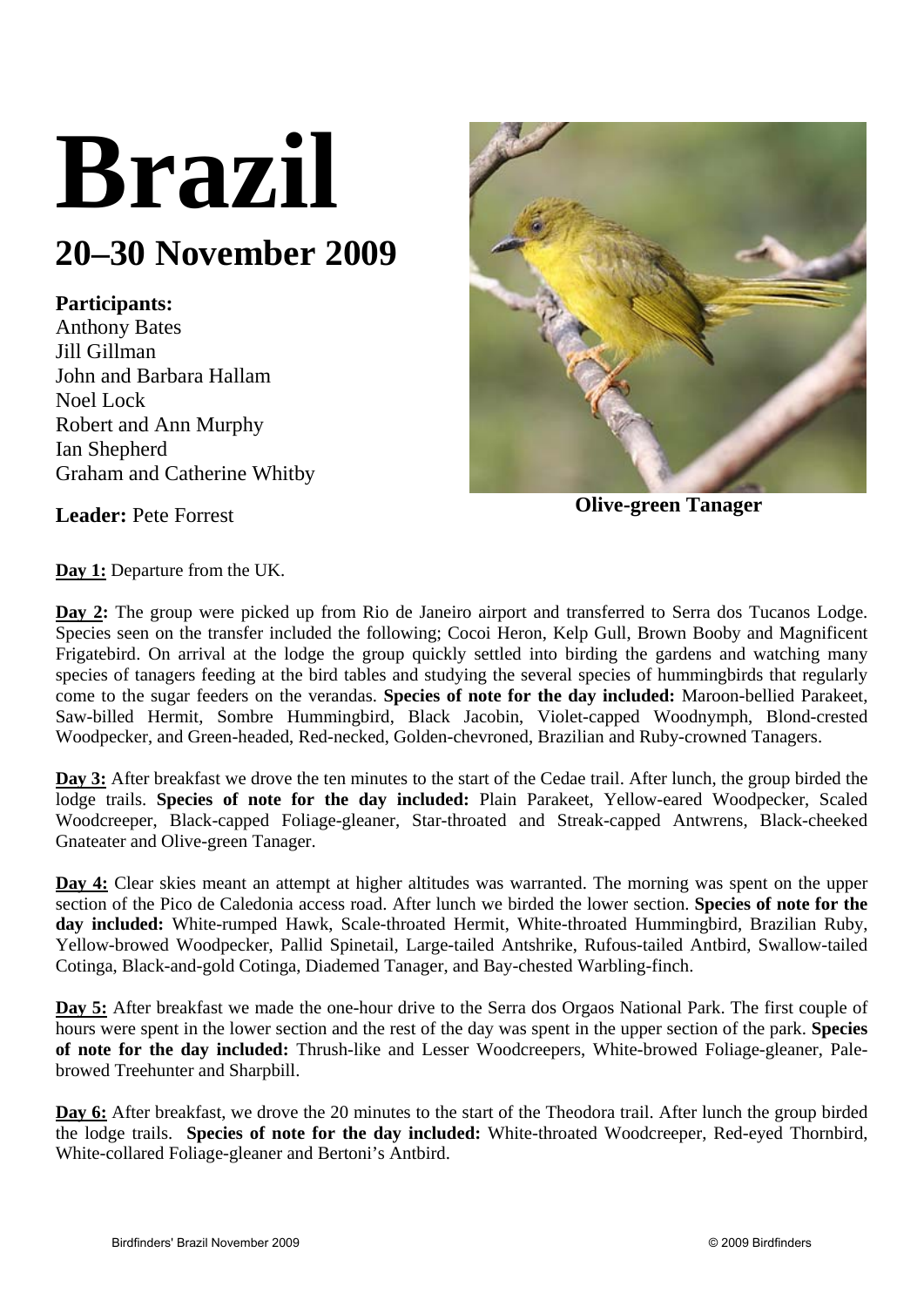# **Brazil**

## **20–30 November 2009**

### **Participants:**

Anthony Bates Jill Gillman John and Barbara Hallam Noel Lock Robert and Ann Murphy Ian Shepherd Graham and Catherine Whitby



**Leader:** Pete Forrest **Olive-green Tanager** 

**Day 1:** Departure from the UK.

**Day 2:** The group were picked up from Rio de Janeiro airport and transferred to Serra dos Tucanos Lodge. Species seen on the transfer included the following; Cocoi Heron, Kelp Gull, Brown Booby and Magnificent Frigatebird. On arrival at the lodge the group quickly settled into birding the gardens and watching many species of tanagers feeding at the bird tables and studying the several species of hummingbirds that regularly come to the sugar feeders on the verandas. **Species of note for the day included:** Maroon-bellied Parakeet, Saw-billed Hermit, Sombre Hummingbird, Black Jacobin, Violet-capped Woodnymph, Blond-crested Woodpecker, and Green-headed, Red-necked, Golden-chevroned, Brazilian and Ruby-crowned Tanagers.

**Day 3:** After breakfast we drove the ten minutes to the start of the Cedae trail. After lunch, the group birded the lodge trails. **Species of note for the day included:** Plain Parakeet, Yellow-eared Woodpecker, Scaled Woodcreeper, Black-capped Foliage-gleaner, Star-throated and Streak-capped Antwrens, Black-cheeked Gnateater and Olive-green Tanager.

**Day 4:** Clear skies meant an attempt at higher altitudes was warranted. The morning was spent on the upper section of the Pico de Caledonia access road. After lunch we birded the lower section. **Species of note for the day included:** White-rumped Hawk, Scale-throated Hermit, White-throated Hummingbird, Brazilian Ruby, Yellow-browed Woodpecker, Pallid Spinetail, Large-tailed Antshrike, Rufous-tailed Antbird, Swallow-tailed Cotinga, Black-and-gold Cotinga, Diademed Tanager, and Bay-chested Warbling-finch.

**Day 5:** After breakfast we made the one-hour drive to the Serra dos Orgaos National Park. The first couple of hours were spent in the lower section and the rest of the day was spent in the upper section of the park. **Species of note for the day included:** Thrush-like and Lesser Woodcreepers, White-browed Foliage-gleaner, Palebrowed Treehunter and Sharpbill.

**Day 6:** After breakfast, we drove the 20 minutes to the start of the Theodora trail. After lunch the group birded the lodge trails. **Species of note for the day included:** White-throated Woodcreeper, Red-eyed Thornbird, White-collared Foliage-gleaner and Bertoni's Antbird.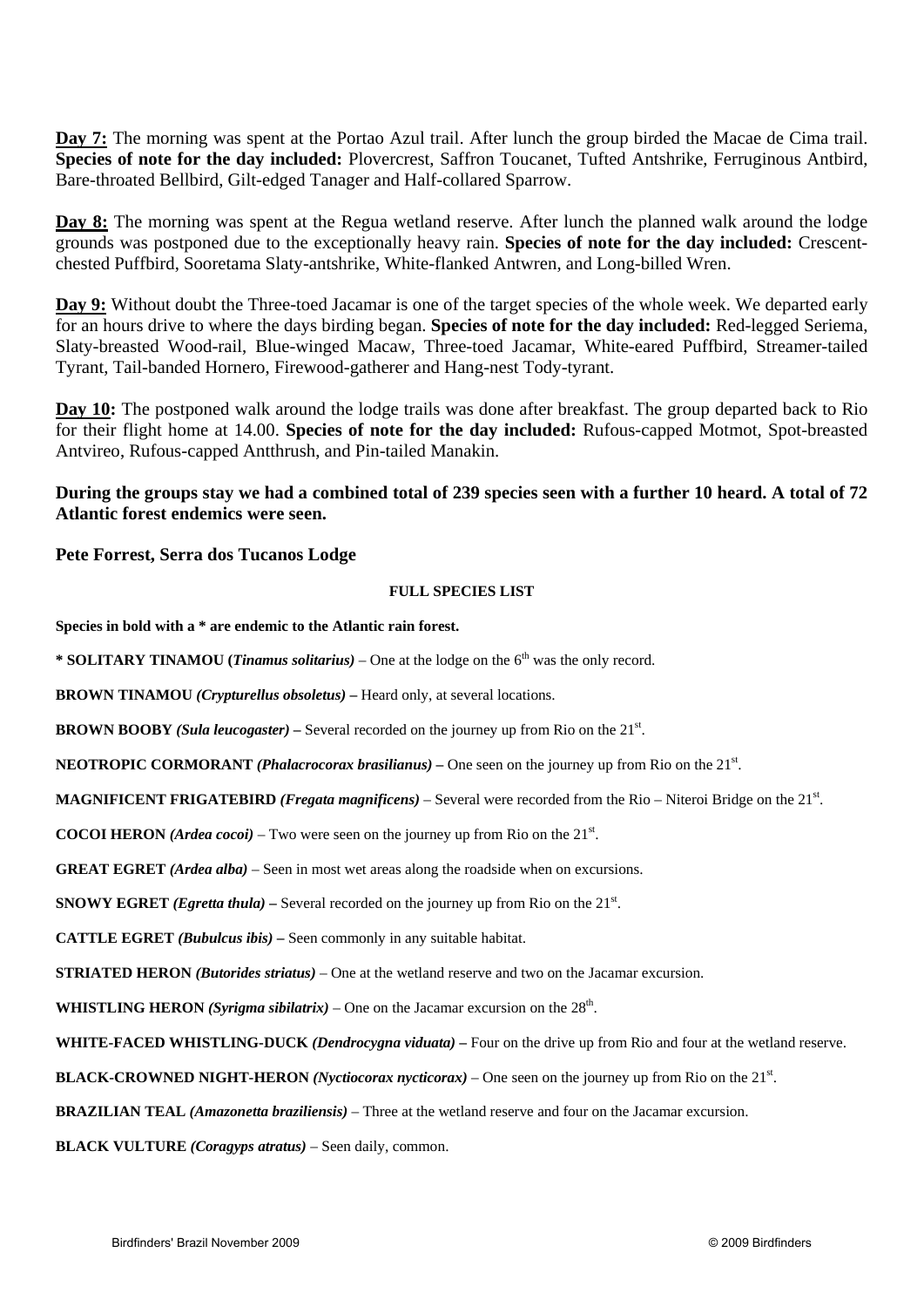**Day 7:** The morning was spent at the Portao Azul trail. After lunch the group birded the Macae de Cima trail. **Species of note for the day included:** Plovercrest, Saffron Toucanet, Tufted Antshrike, Ferruginous Antbird, Bare-throated Bellbird, Gilt-edged Tanager and Half-collared Sparrow.

**Day 8:** The morning was spent at the Regua wetland reserve. After lunch the planned walk around the lodge grounds was postponed due to the exceptionally heavy rain. **Species of note for the day included:** Crescentchested Puffbird, Sooretama Slaty-antshrike, White-flanked Antwren, and Long-billed Wren.

**Day 9:** Without doubt the Three-toed Jacamar is one of the target species of the whole week. We departed early for an hours drive to where the days birding began. **Species of note for the day included:** Red-legged Seriema, Slaty-breasted Wood-rail, Blue-winged Macaw, Three-toed Jacamar, White-eared Puffbird, Streamer-tailed Tyrant, Tail-banded Hornero, Firewood-gatherer and Hang-nest Tody-tyrant.

**Day 10:** The postponed walk around the lodge trails was done after breakfast. The group departed back to Rio for their flight home at 14.00. **Species of note for the day included:** Rufous-capped Motmot, Spot-breasted Antvireo, Rufous-capped Antthrush, and Pin-tailed Manakin.

#### **During the groups stay we had a combined total of 239 species seen with a further 10 heard. A total of 72 Atlantic forest endemics were seen.**

#### **Pete Forrest, Serra dos Tucanos Lodge**

#### **FULL SPECIES LIST**

**Species in bold with a \* are endemic to the Atlantic rain forest.** 

\* **SOLITARY TINAMOU** (*Tinamus solitarius*) – One at the lodge on the 6<sup>th</sup> was the only record.

**BROWN TINAMOU** *(Crypturellus obsoletus) –* Heard only, at several locations.

**BROWN BOOBY** (Sula leucogaster) – Several recorded on the journey up from Rio on the 21<sup>st</sup>.

**NEOTROPIC CORMORANT** *(Phalacrocorax brasilianus)* – One seen on the journey up from Rio on the 21<sup>st</sup>.

**MAGNIFICENT FRIGATEBIRD** (*Fregata magnificens*) – Several were recorded from the Rio – Niteroi Bridge on the 21<sup>st</sup>.

**COCOI HERON** *(Ardea cocoi)* – Two were seen on the journey up from Rio on the  $21<sup>st</sup>$ .

**GREAT EGRET** *(Ardea alba)* – Seen in most wet areas along the roadside when on excursions.

**SNOWY EGRET** *(Egretta thula)* – Several recorded on the journey up from Rio on the  $21<sup>st</sup>$ .

**CATTLE EGRET** *(Bubulcus ibis) –* Seen commonly in any suitable habitat.

**STRIATED HERON** *(Butorides striatus)* – One at the wetland reserve and two on the Jacamar excursion.

**WHISTLING HERON** *(Syrigma sibilatrix)* – One on the Jacamar excursion on the  $28<sup>th</sup>$ .

**WHITE-FACED WHISTLING-DUCK** *(Dendrocygna viduata) –* Four on the drive up from Rio and four at the wetland reserve.

**BLACK-CROWNED NIGHT-HERON** *(Nyctiocorax nycticorax)* – One seen on the journey up from Rio on the 21<sup>st</sup>.

**BRAZILIAN TEAL** *(Amazonetta braziliensis)* – Three at the wetland reserve and four on the Jacamar excursion.

**BLACK VULTURE** *(Coragyps atratus)* – Seen daily, common.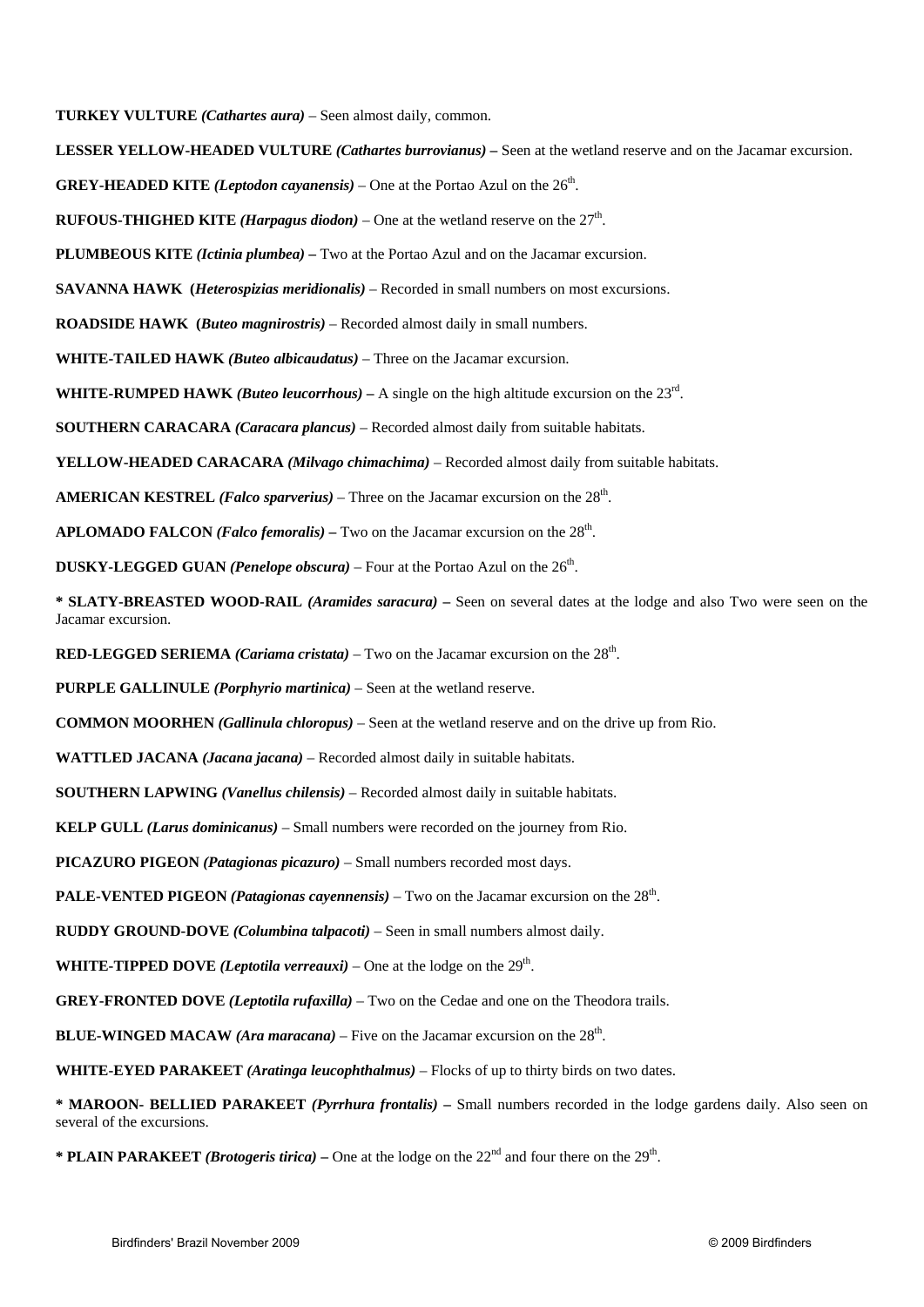**TURKEY VULTURE** *(Cathartes aura)* – Seen almost daily, common.

**LESSER YELLOW-HEADED VULTURE** *(Cathartes burrovianus) –* Seen at the wetland reserve and on the Jacamar excursion.

**GREY-HEADED KITE** *(Leptodon cayanensis)* – One at the Portao Azul on the  $26<sup>th</sup>$ .

**RUFOUS-THIGHED KITE** *(Harpagus diodon)* – One at the wetland reserve on the  $27<sup>th</sup>$ .

**PLUMBEOUS KITE** *(Ictinia plumbea) –* Two at the Portao Azul and on the Jacamar excursion.

**SAVANNA HAWK (***Heterospizias meridionalis)* – Recorded in small numbers on most excursions.

**ROADSIDE HAWK (***Buteo magnirostris)* – Recorded almost daily in small numbers.

**WHITE-TAILED HAWK** *(Buteo albicaudatus)* – Three on the Jacamar excursion.

**WHITE-RUMPED HAWK** *(Buteo leucorrhous) –* A single on the high altitude excursion on the 23rd.

**SOUTHERN CARACARA** *(Caracara plancus)* – Recorded almost daily from suitable habitats.

**YELLOW-HEADED CARACARA** *(Milvago chimachima)* – Recorded almost daily from suitable habitats.

**AMERICAN KESTREL** *(Falco sparverius)* – Three on the Jacamar excursion on the 28th.

**APLOMADO FALCON** *(Falco femoralis)* – Two on the Jacamar excursion on the  $28<sup>th</sup>$ .

**DUSKY-LEGGED GUAN** *(Penelope obscura)* – Four at the Portao Azul on the  $26<sup>th</sup>$ .

**\* SLATY-BREASTED WOOD-RAIL** *(Aramides saracura)* **–** Seen on several dates at the lodge and also Two were seen on the Jacamar excursion.

**RED-LEGGED SERIEMA** *(Cariama cristata)* – Two on the Jacamar excursion on the 28th.

**PURPLE GALLINULE** *(Porphyrio martinica)* – Seen at the wetland reserve.

**COMMON MOORHEN** *(Gallinula chloropus)* – Seen at the wetland reserve and on the drive up from Rio.

**WATTLED JACANA** *(Jacana jacana)* – Recorded almost daily in suitable habitats.

 **SOUTHERN LAPWING** *(Vanellus chilensis)* – Recorded almost daily in suitable habitats.

**KELP GULL** *(Larus dominicanus)* – Small numbers were recorded on the journey from Rio.

**PICAZURO PIGEON** *(Patagionas picazuro)* – Small numbers recorded most days.

**PALE-VENTED PIGEON** *(Patagionas cayennensis)* – Two on the Jacamar excursion on the 28<sup>th</sup>.

**RUDDY GROUND-DOVE** *(Columbina talpacoti)* – Seen in small numbers almost daily.

**WHITE-TIPPED DOVE** *(Leptotila verreauxi)* – One at the lodge on the  $29<sup>th</sup>$ .

**GREY-FRONTED DOVE** *(Leptotila rufaxilla)* – Two on the Cedae and one on the Theodora trails.

**BLUE-WINGED MACAW** *(Ara maracana)* – Five on the Jacamar excursion on the 28<sup>th</sup>.

**WHITE-EYED PARAKEET** *(Aratinga leucophthalmus)* – Flocks of up to thirty birds on two dates.

**\* MAROON- BELLIED PARAKEET** *(Pyrrhura frontalis)* **–** Small numbers recorded in the lodge gardens daily. Also seen on several of the excursions.

\* **PLAIN PARAKEET** *(Brotogeris tirica)* – One at the lodge on the  $22<sup>nd</sup>$  and four there on the  $29<sup>th</sup>$ .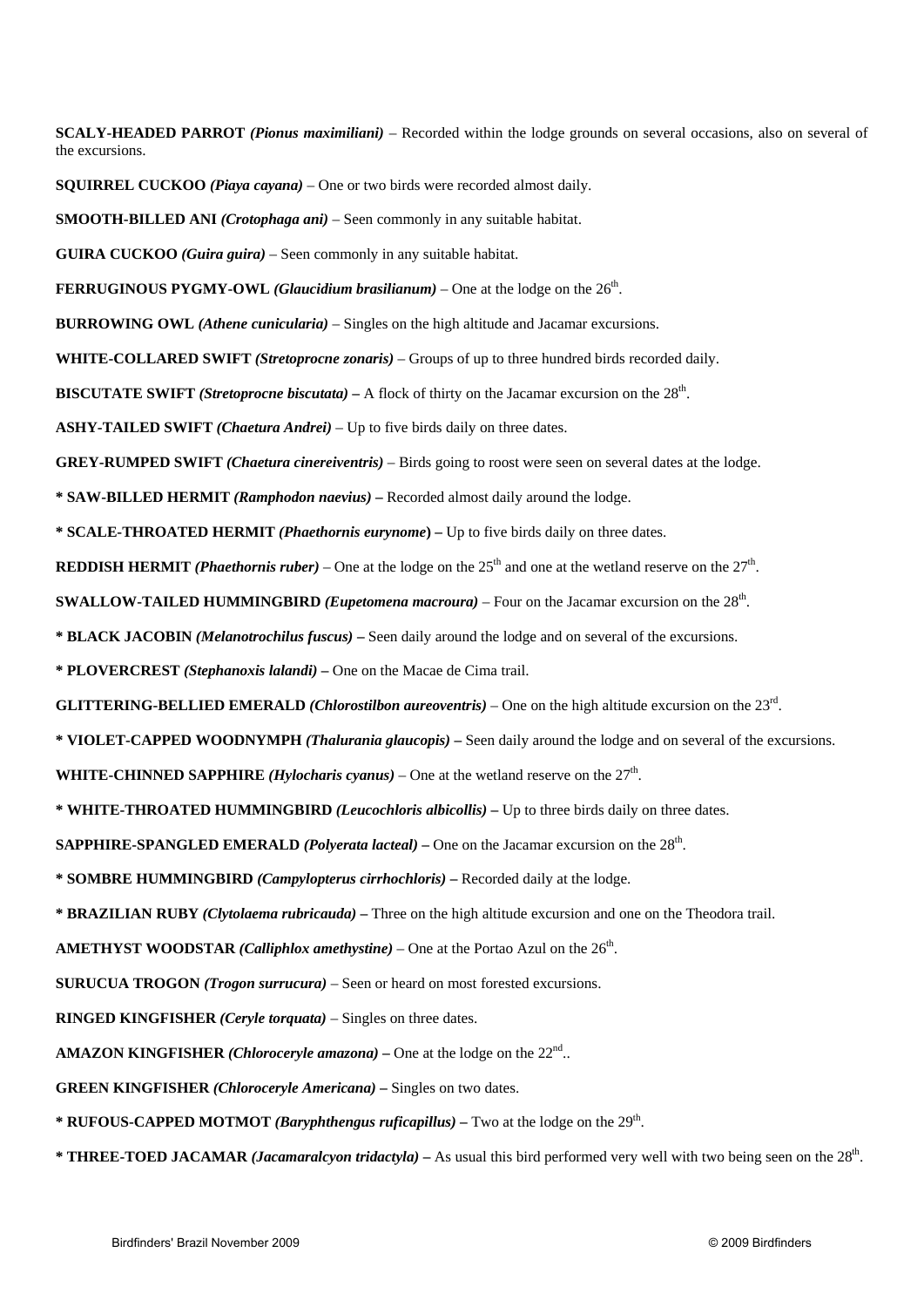**SCALY-HEADED PARROT** *(Pionus maximiliani)* – Recorded within the lodge grounds on several occasions, also on several of the excursions.

**SQUIRREL CUCKOO** *(Piaya cayana)* – One or two birds were recorded almost daily.

**SMOOTH-BILLED ANI** *(Crotophaga ani)* – Seen commonly in any suitable habitat.

**GUIRA CUCKOO** *(Guira guira)* – Seen commonly in any suitable habitat.

**FERRUGINOUS PYGMY-OWL** *(Glaucidium brasilianum)* – One at the lodge on the  $26<sup>th</sup>$ .

**BURROWING OWL** *(Athene cunicularia)* – Singles on the high altitude and Jacamar excursions.

**WHITE-COLLARED SWIFT** *(Stretoprocne zonaris)* – Groups of up to three hundred birds recorded daily.

**BISCUTATE SWIFT** *(Stretoprocne biscutata) –* A flock of thirty on the Jacamar excursion on the 28th.

**ASHY-TAILED SWIFT** *(Chaetura Andrei)* – Up to five birds daily on three dates.

**GREY-RUMPED SWIFT** *(Chaetura cinereiventris)* – Birds going to roost were seen on several dates at the lodge.

**\* SAW-BILLED HERMIT** *(Ramphodon naevius)* **–** Recorded almost daily around the lodge.

**\* SCALE-THROATED HERMIT** *(Phaethornis eurynome***) –** Up to five birds daily on three dates.

**REDDISH HERMIT** *(Phaethornis ruber)* – One at the lodge on the  $25<sup>th</sup>$  and one at the wetland reserve on the  $27<sup>th</sup>$ .

**SWALLOW-TAILED HUMMINGBIRD** *(Eupetomena macroura)* – Four on the Jacamar excursion on the 28th.

**\* BLACK JACOBIN** *(Melanotrochilus fuscus)* **–** Seen daily around the lodge and on several of the excursions.

**\* PLOVERCREST** *(Stephanoxis lalandi)* **–** One on the Macae de Cima trail.

**GLITTERING-BELLIED EMERALD** *(Chlorostilbon aureoventris)* – One on the high altitude excursion on the 23rd.

**\* VIOLET-CAPPED WOODNYMPH** *(Thalurania glaucopis)* **–** Seen daily around the lodge and on several of the excursions.

**WHITE-CHINNED SAPPHIRE** *(Hylocharis cyanus)* – One at the wetland reserve on the  $27<sup>th</sup>$ .

**\* WHITE-THROATED HUMMINGBIRD** *(Leucochloris albicollis) –* Up to three birds daily on three dates.

**SAPPHIRE-SPANGLED EMERALD** *(Polyerata lacteal)* – One on the Jacamar excursion on the 28<sup>th</sup>.

**\* SOMBRE HUMMINGBIRD** *(Campylopterus cirrhochloris)* **–** Recorded daily at the lodge.

**\* BRAZILIAN RUBY** *(Clytolaema rubricauda) –* Three on the high altitude excursion and one on the Theodora trail.

**AMETHYST WOODSTAR** *(Calliphlox amethystine)* – One at the Portao Azul on the  $26<sup>th</sup>$ .

**SURUCUA TROGON** *(Trogon surrucura)* – Seen or heard on most forested excursions.

**RINGED KINGFISHER** *(Ceryle torquata)* – Singles on three dates.

**AMAZON KINGFISHER** *(Chloroceryle amazona)* – One at the lodge on the  $22^{nd}$ ..

**GREEN KINGFISHER** *(Chloroceryle Americana) –* Singles on two dates.

**\* RUFOUS-CAPPED MOTMOT** *(Baryphthengus ruficapillus)* – Two at the lodge on the  $29<sup>th</sup>$ .

**\* THREE-TOED JACAMAR** *(Jacamaralcyon tridactyla)* **–** As usual this bird performed very well with two being seen on the 28th.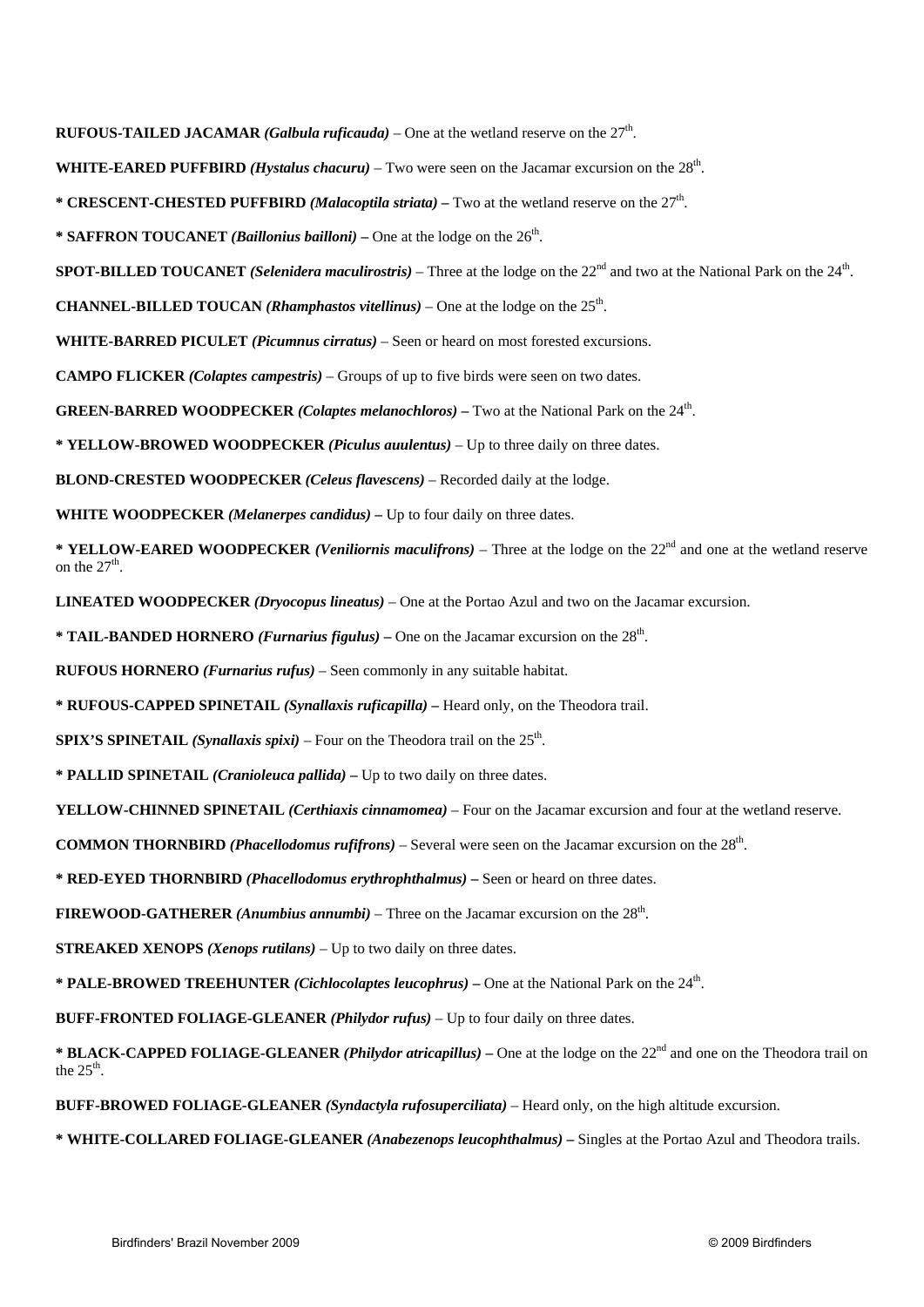**RUFOUS-TAILED JACAMAR** *(Galbula ruficauda)* – One at the wetland reserve on the  $27<sup>th</sup>$ .

**WHITE-EARED PUFFBIRD** *(Hystalus chacuru)* – Two were seen on the Jacamar excursion on the 28th.

**\* CRESCENT-CHESTED PUFFBIRD** *(Malacoptila striata) –* Two at the wetland reserve on the 27th.

**\* SAFFRON TOUCANET** *(Baillonius bailloni)* – One at the lodge on the  $26<sup>th</sup>$ .

**SPOT-BILLED TOUCANET** *(Selenidera maculirostris)* – Three at the lodge on the 22<sup>nd</sup> and two at the National Park on the 24<sup>th</sup>.

**CHANNEL-BILLED TOUCAN** *(Rhamphastos vitellinus)* – One at the lodge on the  $25<sup>th</sup>$ .

**WHITE-BARRED PICULET** *(Picumnus cirratus)* – Seen or heard on most forested excursions.

**CAMPO FLICKER** *(Colaptes campestris)* – Groups of up to five birds were seen on two dates.

**GREEN-BARRED WOODPECKER** *(Colaptes melanochloros) –* Two at the National Park on the 24th.

**\* YELLOW-BROWED WOODPECKER** *(Piculus auulentus)* – Up to three daily on three dates.

**BLOND-CRESTED WOODPECKER** *(Celeus flavescens)* – Recorded daily at the lodge.

**WHITE WOODPECKER** *(Melanerpes candidus) –* Up to four daily on three dates.

**\* YELLOW-EARED WOODPECKER** *(Veniliornis maculifrons)* – Three at the lodge on the 22nd and one at the wetland reserve on the  $27<sup>th</sup>$ .

**LINEATED WOODPECKER** *(Dryocopus lineatus)* – One at the Portao Azul and two on the Jacamar excursion.

**\* TAIL-BANDED HORNERO** *(Furnarius figulus)* **–** One on the Jacamar excursion on the 28th.

**RUFOUS HORNERO** *(Furnarius rufus)* – Seen commonly in any suitable habitat.

**\* RUFOUS-CAPPED SPINETAIL** *(Synallaxis ruficapilla) –* Heard only, on the Theodora trail.

**SPIX'S SPINETAIL** *(Synallaxis spixi)* – Four on the Theodora trail on the  $25<sup>th</sup>$ .

**\* PALLID SPINETAIL** *(Cranioleuca pallida)* **–** Up to two daily on three dates.

**YELLOW-CHINNED SPINETAIL** *(Certhiaxis cinnamomea)* – Four on the Jacamar excursion and four at the wetland reserve.

**COMMON THORNBIRD** *(Phacellodomus rufifrons)* – Several were seen on the Jacamar excursion on the 28th.

**\* RED-EYED THORNBIRD** *(Phacellodomus erythrophthalmus)* **–** Seen or heard on three dates.

**FIREWOOD-GATHERER** *(Anumbius annumbi)* – Three on the Jacamar excursion on the 28th.

**STREAKED XENOPS** *(Xenops rutilans)* – Up to two daily on three dates.

**\* PALE-BROWED TREEHUNTER** *(Cichlocolaptes leucophrus)* **–** One at the National Park on the 24th.

**BUFF-FRONTED FOLIAGE-GLEANER** *(Philydor rufus)* – Up to four daily on three dates.

\* **BLACK-CAPPED FOLIAGE-GLEANER** *(Philydor atricapillus)* – One at the lodge on the 22<sup>nd</sup> and one on the Theodora trail on the  $25<sup>th</sup>$ .

**BUFF-BROWED FOLIAGE-GLEANER** *(Syndactyla rufosuperciliata)* – Heard only, on the high altitude excursion.

**\* WHITE-COLLARED FOLIAGE-GLEANER** *(Anabezenops leucophthalmus) –* Singles at the Portao Azul and Theodora trails.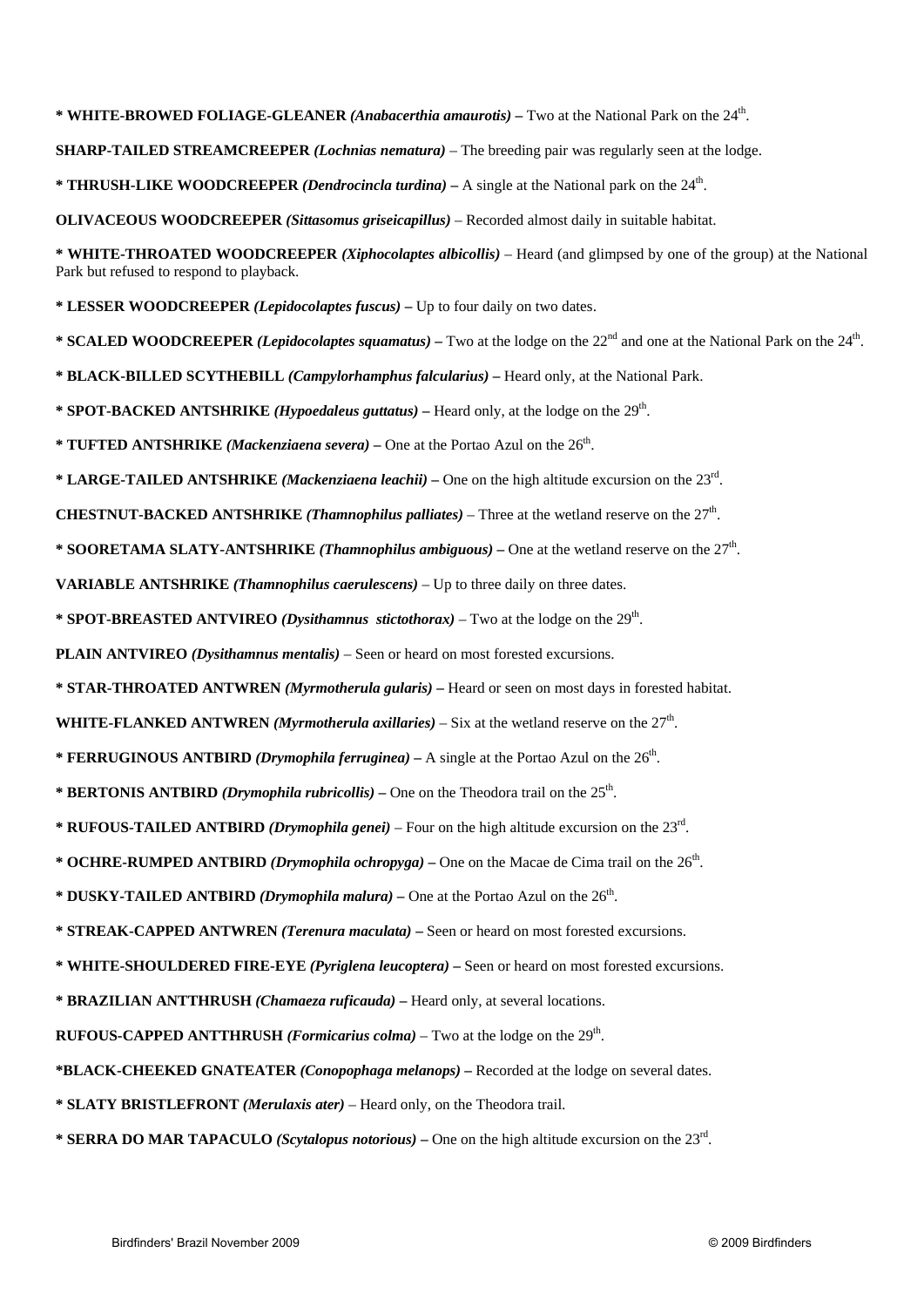**\* WHITE-BROWED FOLIAGE-GLEANER** *(Anabacerthia amaurotis)* **–** Two at the National Park on the 24th.

**SHARP-TAILED STREAMCREEPER** *(Lochnias nematura)* – The breeding pair was regularly seen at the lodge.

**\* THRUSH-LIKE WOODCREEPER** *(Dendrocincla turdina)* **–** A single at the National park on the 24th.

**OLIVACEOUS WOODCREEPER** *(Sittasomus griseicapillus)* – Recorded almost daily in suitable habitat.

**\* WHITE-THROATED WOODCREEPER** *(Xiphocolaptes albicollis)* – Heard (and glimpsed by one of the group) at the National Park but refused to respond to playback.

**\* LESSER WOODCREEPER** *(Lepidocolaptes fuscus)* **–** Up to four daily on two dates.

**\* SCALED WOODCREEPER** *(Lepidocolaptes squamatus)* – Two at the lodge on the 22<sup>nd</sup> and one at the National Park on the 24<sup>th</sup>.

**\* BLACK-BILLED SCYTHEBILL** *(Campylorhamphus falcularius)* **–** Heard only, at the National Park.

**\* SPOT-BACKED ANTSHRIKE** *(Hypoedaleus guttatus) –* Heard only, at the lodge on the 29th.

\* **TUFTED ANTSHRIKE** *(Mackenziaena severa)* – One at the Portao Azul on the 26<sup>th</sup>.

**\* LARGE-TAILED ANTSHRIKE** *(Mackenziaena leachii) –* One on the high altitude excursion on the 23rd.

**CHESTNUT-BACKED ANTSHRIKE** *(Thamnophilus palliates)* – Three at the wetland reserve on the  $27<sup>th</sup>$ .

**\* SOORETAMA SLATY-ANTSHRIKE** *(Thamnophilus ambiguous)* **–** One at the wetland reserve on the 27th.

**VARIABLE ANTSHRIKE** *(Thamnophilus caerulescens)* – Up to three daily on three dates.

**\* SPOT-BREASTED ANTVIREO** *(Dysithamnus stictothorax) –* Two at the lodge on the 29th.

**PLAIN ANTVIREO** *(Dysithamnus mentalis) –* Seen or heard on most forested excursions.

**\* STAR-THROATED ANTWREN** *(Myrmotherula gularis)* **–** Heard or seen on most days in forested habitat.

**WHITE-FLANKED ANTWREN** *(Myrmotherula axillaries)* – Six at the wetland reserve on the  $27<sup>th</sup>$ .

**\* FERRUGINOUS ANTBIRD** *(Drymophila ferruginea)* – A single at the Portao Azul on the  $26<sup>th</sup>$ .

- \* **BERTONIS ANTBIRD** *(Drymophila rubricollis)* One on the Theodora trail on the 25<sup>th</sup>.
- **\* RUFOUS-TAILED ANTBIRD** *(Drymophila genei)* Four on the high altitude excursion on the 23rd.

\* **OCHRE-RUMPED ANTBIRD** *(Drymophila ochropyga)* – One on the Macae de Cima trail on the 26<sup>th</sup>.

**\* DUSKY-TAILED ANTBIRD** *(Drymophila malura)* **–** One at the Portao Azul on the 26th.

**\* STREAK-CAPPED ANTWREN** *(Terenura maculata)* **–** Seen or heard on most forested excursions.

**\* WHITE-SHOULDERED FIRE-EYE** *(Pyriglena leucoptera) –* Seen or heard on most forested excursions.

**\* BRAZILIAN ANTTHRUSH** *(Chamaeza ruficauda)* **–** Heard only, at several locations.

**RUFOUS-CAPPED ANTTHRUSH** *(Formicarius colma)* – Two at the lodge on the 29th.

**\*BLACK-CHEEKED GNATEATER** *(Conopophaga melanops)* **–** Recorded at the lodge on several dates.

**\* SLATY BRISTLEFRONT** *(Merulaxis ater)* – Heard only, on the Theodora trail.

**\* SERRA DO MAR TAPACULO** *(Scytalopus notorious)* **–** One on the high altitude excursion on the 23rd.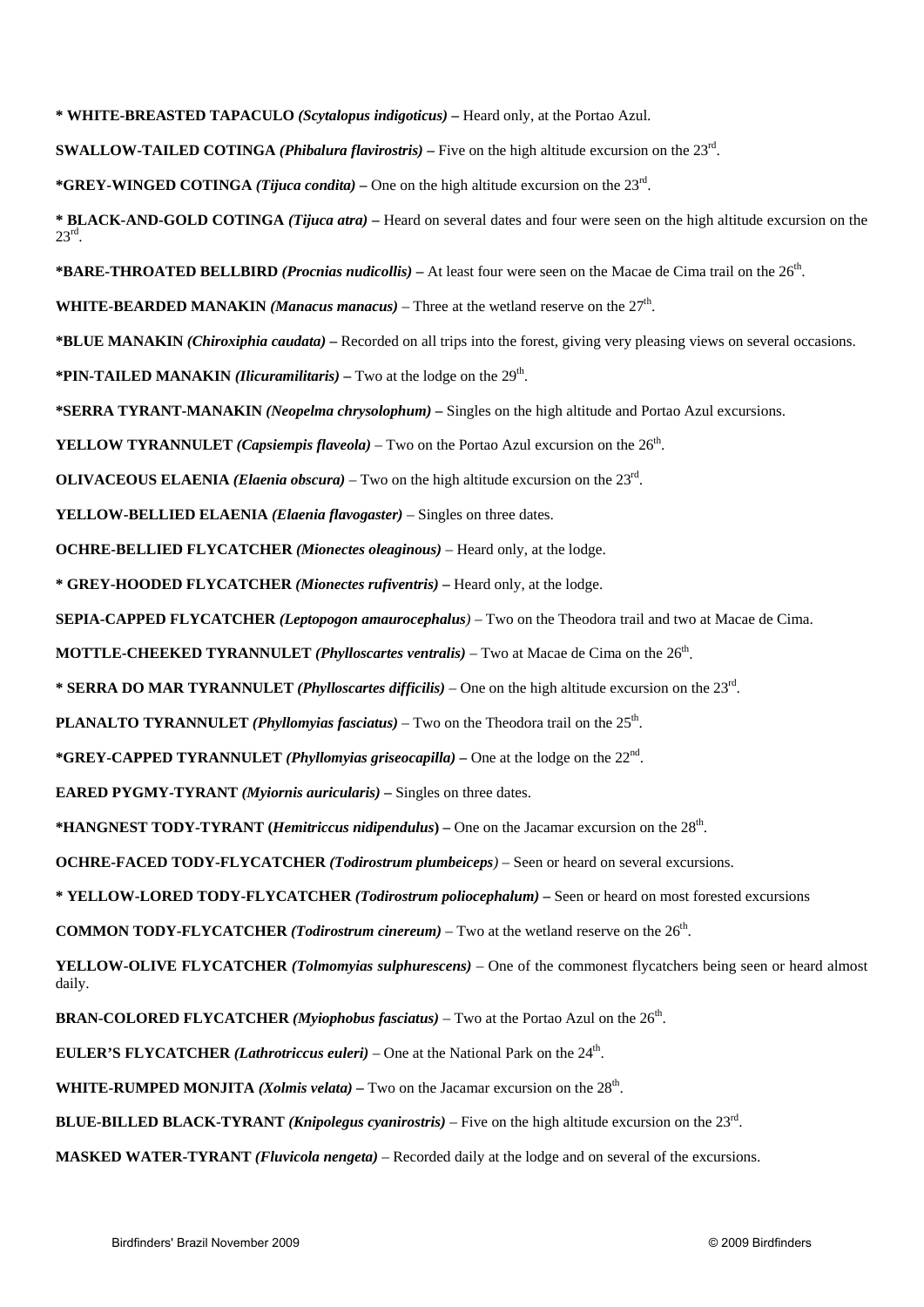**\* WHITE-BREASTED TAPACULO** *(Scytalopus indigoticus) –* Heard only, at the Portao Azul.

**SWALLOW-TAILED COTINGA** *(Phibalura flavirostris)* – Five on the high altitude excursion on the  $23<sup>rd</sup>$ .

**\*GREY-WINGED COTINGA** *(Tijuca condita) –* One on the high altitude excursion on the 23rd.

**\* BLACK-AND-GOLD COTINGA** *(Tijuca atra)* **–** Heard on several dates and four were seen on the high altitude excursion on the  $23^{\text{rd}}$ 

**\*BARE-THROATED BELLBIRD** *(Procnias nudicollis)* – At least four were seen on the Macae de Cima trail on the 26<sup>th</sup>.

**WHITE-BEARDED MANAKIN** *(Manacus manacus)* – Three at the wetland reserve on the  $27<sup>th</sup>$ .

**\*BLUE MANAKIN** *(Chiroxiphia caudata)* **–** Recorded on all trips into the forest, giving very pleasing views on several occasions.

**\*PIN-TAILED MANAKIN** *(Ilicuramilitaris)* – Two at the lodge on the  $29<sup>th</sup>$ .

**\*SERRA TYRANT-MANAKIN** *(Neopelma chrysolophum)* **–** Singles on the high altitude and Portao Azul excursions.

**YELLOW TYRANNULET** *(Capsiempis flaveola)* – Two on the Portao Azul excursion on the  $26<sup>th</sup>$ .

**OLIVACEOUS ELAENIA** *(Elaenia obscura)* – Two on the high altitude excursion on the 23rd.

**YELLOW-BELLIED ELAENIA** *(Elaenia flavogaster)* – Singles on three dates.

**OCHRE-BELLIED FLYCATCHER** *(Mionectes oleaginous) –* Heard only, at the lodge.

**\* GREY-HOODED FLYCATCHER** *(Mionectes rufiventris) –* Heard only, at the lodge.

**SEPIA-CAPPED FLYCATCHER** *(Leptopogon amaurocephalus)* – Two on the Theodora trail and two at Macae de Cima.

**MOTTLE-CHEEKED TYRANNULET** *(Phylloscartes ventralis)* – Two at Macae de Cima on the 26<sup>th</sup>.

**\* SERRA DO MAR TYRANNULET** *(Phylloscartes difficilis)* – One on the high altitude excursion on the 23rd.

**PLANALTO TYRANNULET** *(Phyllomyias fasciatus)* – Two on the Theodora trail on the  $25<sup>th</sup>$ .

**\*GREY-CAPPED TYRANNULET** *(Phyllomyias griseocapilla)* **–** One at the lodge on the 22nd.

**EARED PYGMY-TYRANT** *(Myiornis auricularis) –* Singles on three dates.

**\*HANGNEST TODY-TYRANT (***Hemitriccus nidipendulus***) –** One on the Jacamar excursion on the 28th.

**OCHRE-FACED TODY-FLYCATCHER** *(Todirostrum plumbeiceps)* – Seen or heard on several excursions.

**\* YELLOW-LORED TODY-FLYCATCHER** *(Todirostrum poliocephalum)* **–** Seen or heard on most forested excursions

**COMMON TODY-FLYCATCHER** *(Todirostrum cinereum)* – Two at the wetland reserve on the  $26<sup>th</sup>$ .

**YELLOW-OLIVE FLYCATCHER** *(Tolmomyias sulphurescens)* – One of the commonest flycatchers being seen or heard almost daily.

**BRAN-COLORED FLYCATCHER** *(Myiophobus fasciatus)* – Two at the Portao Azul on the 26<sup>th</sup>.

**EULER'S FLYCATCHER** *(Lathrotriccus euleri)* – One at the National Park on the  $24<sup>th</sup>$ .

**WHITE-RUMPED MONJITA** *(Xolmis velata)* – Two on the Jacamar excursion on the 28<sup>th</sup>.

**BLUE-BILLED BLACK-TYRANT** *(Knipolegus cyanirostris)* – Five on the high altitude excursion on the 23rd.

**MASKED WATER-TYRANT** *(Fluvicola nengeta)* – Recorded daily at the lodge and on several of the excursions.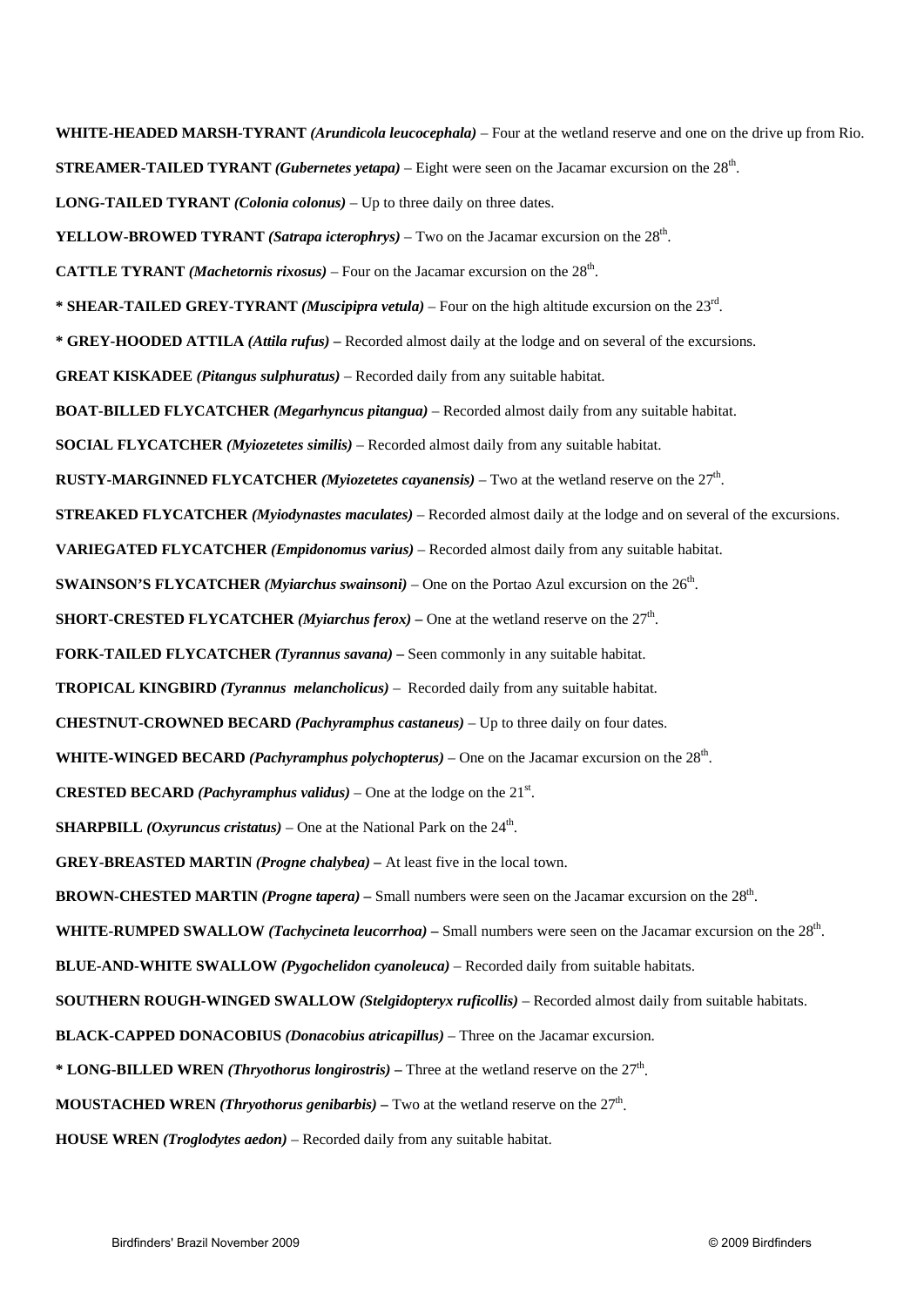**WHITE-HEADED MARSH-TYRANT** *(Arundicola leucocephala)* – Four at the wetland reserve and one on the drive up from Rio. **STREAMER-TAILED TYRANT** *(Gubernetes yetapa)* – Eight were seen on the Jacamar excursion on the 28th. **LONG-TAILED TYRANT** *(Colonia colonus)* – Up to three daily on three dates. **YELLOW-BROWED TYRANT** *(Satrapa icterophrys)* – Two on the Jacamar excursion on the  $28<sup>th</sup>$ . **CATTLE TYRANT** *(Machetornis rixosus)* – Four on the Jacamar excursion on the  $28<sup>th</sup>$ . **\* SHEAR-TAILED GREY-TYRANT** *(Muscipipra vetula)* – Four on the high altitude excursion on the 23rd. **\* GREY-HOODED ATTILA** *(Attila rufus) –* Recorded almost daily at the lodge and on several of the excursions. **GREAT KISKADEE** *(Pitangus sulphuratus)* – Recorded daily from any suitable habitat. **BOAT-BILLED FLYCATCHER** *(Megarhyncus pitangua)* – Recorded almost daily from any suitable habitat. **SOCIAL FLYCATCHER** *(Myiozetetes similis)* – Recorded almost daily from any suitable habitat. **RUSTY-MARGINNED FLYCATCHER** *(Myiozetetes cayanensis)* – Two at the wetland reserve on the 27th. **STREAKED FLYCATCHER** *(Myiodynastes maculates)* – Recorded almost daily at the lodge and on several of the excursions. **VARIEGATED FLYCATCHER** *(Empidonomus varius)* – Recorded almost daily from any suitable habitat. **SWAINSON'S FLYCATCHER** *(Myiarchus swainsoni)* – One on the Portao Azul excursion on the 26th. **SHORT-CRESTED FLYCATCHER** *(Myiarchus ferox)* – One at the wetland reserve on the  $27<sup>th</sup>$ . **FORK-TAILED FLYCATCHER** *(Tyrannus savana) –* Seen commonly in any suitable habitat. **TROPICAL KINGBIRD** *(Tyrannus melancholicus)* – Recorded daily from any suitable habitat. **CHESTNUT-CROWNED BECARD** *(Pachyramphus castaneus)* – Up to three daily on four dates. **WHITE-WINGED BECARD** *(Pachyramphus polychopterus)* – One on the Jacamar excursion on the 28th. **CRESTED BECARD** *(Pachyramphus validus)* – One at the lodge on the  $21<sup>st</sup>$ . **SHARPBILL** *(Oxyruncus cristatus)* – One at the National Park on the  $24<sup>th</sup>$ . **GREY-BREASTED MARTIN** *(Progne chalybea) –* At least five in the local town. **BROWN-CHESTED MARTIN** *(Progne tapera)* – Small numbers were seen on the Jacamar excursion on the 28<sup>th</sup>. WHITE-RUMPED SWALLOW *(Tachycineta leucorrhoa)* – Small numbers were seen on the Jacamar excursion on the 28<sup>th</sup>. **BLUE-AND-WHITE SWALLOW** *(Pygochelidon cyanoleuca)* – Recorded daily from suitable habitats. **SOUTHERN ROUGH-WINGED SWALLOW** *(Stelgidopteryx ruficollis)* – Recorded almost daily from suitable habitats. **BLACK-CAPPED DONACOBIUS** *(Donacobius atricapillus)* – Three on the Jacamar excursion. **\* LONG-BILLED WREN** *(Thryothorus longirostris)* – Three at the wetland reserve on the  $27<sup>th</sup>$ . **MOUSTACHED WREN** *(Thryothorus genibarbis)* – Two at the wetland reserve on the  $27<sup>th</sup>$ . **HOUSE WREN** *(Troglodytes aedon)* – Recorded daily from any suitable habitat.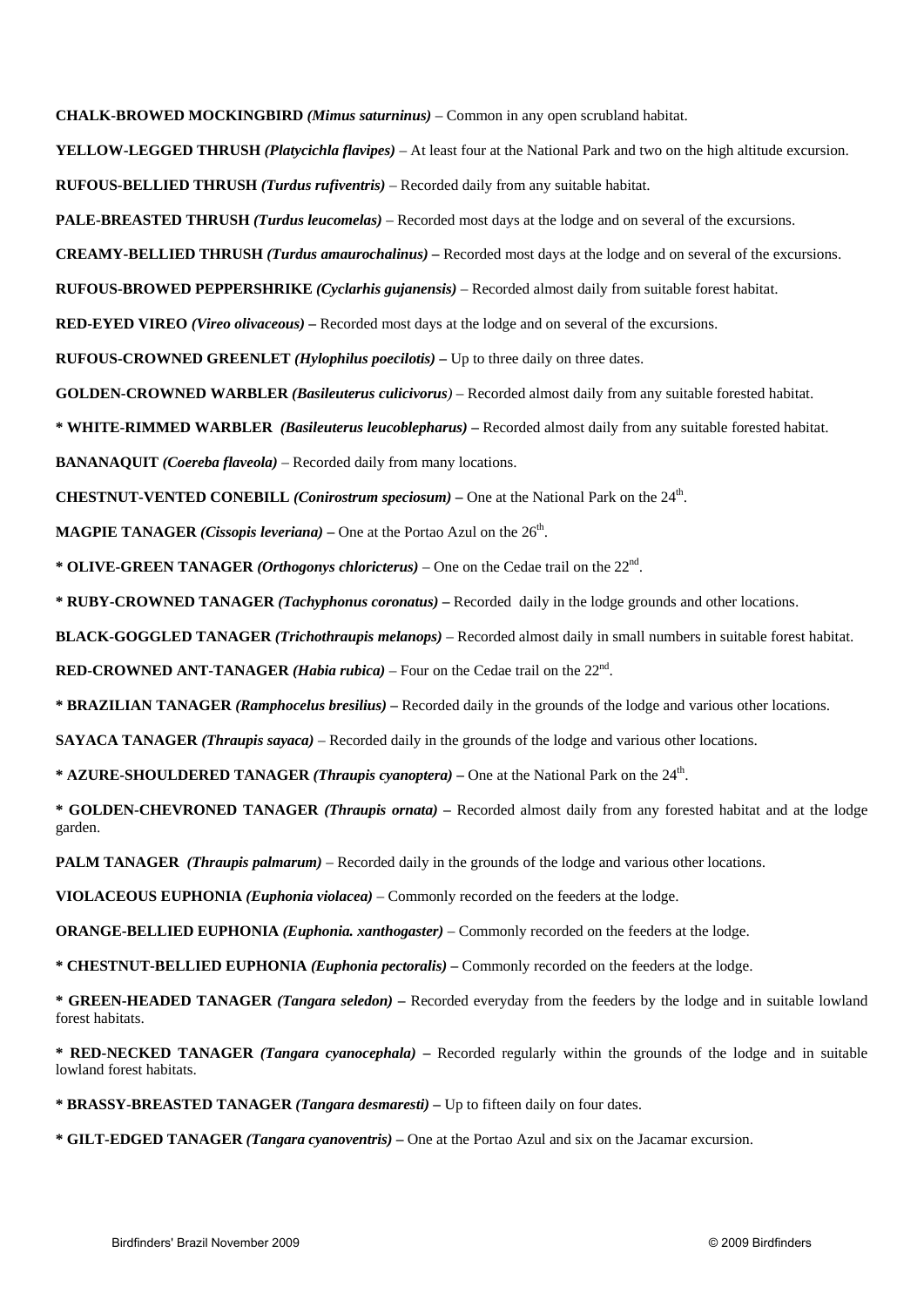**CHALK-BROWED MOCKINGBIRD** *(Mimus saturninus)* – Common in any open scrubland habitat.

**YELLOW-LEGGED THRUSH** *(Platycichla flavipes)* – At least four at the National Park and two on the high altitude excursion. **RUFOUS-BELLIED THRUSH** *(Turdus rufiventris)* – Recorded daily from any suitable habitat.

**PALE-BREASTED THRUSH** *(Turdus leucomelas)* – Recorded most days at the lodge and on several of the excursions.

**CREAMY-BELLIED THRUSH** *(Turdus amaurochalinus) –* Recorded most days at the lodge and on several of the excursions.

**RUFOUS-BROWED PEPPERSHRIKE** *(Cyclarhis gujanensis)* – Recorded almost daily from suitable forest habitat.

**RED-EYED VIREO** *(Vireo olivaceous) –* Recorded most days at the lodge and on several of the excursions.

**RUFOUS-CROWNED GREENLET** *(Hylophilus poecilotis) –* Up to three daily on three dates.

**GOLDEN-CROWNED WARBLER** *(Basileuterus culicivorus)* – Recorded almost daily from any suitable forested habitat.

**\* WHITE-RIMMED WARBLER** *(Basileuterus leucoblepharus)* **–** Recorded almost daily from any suitable forested habitat.

**BANANAQUIT** *(Coereba flaveola)* – Recorded daily from many locations.

**CHESTNUT-VENTED CONEBILL** *(Conirostrum speciosum) –* One at the National Park on the 24th.

**MAGPIE TANAGER** *(Cissopis leveriana)* – One at the Portao Azul on the  $26<sup>th</sup>$ .

**\* OLIVE-GREEN TANAGER** *(Orthogonys chloricterus)* – One on the Cedae trail on the 22nd.

**\* RUBY-CROWNED TANAGER** *(Tachyphonus coronatus) –* Recorded daily in the lodge grounds and other locations.

**BLACK-GOGGLED TANAGER** *(Trichothraupis melanops)* – Recorded almost daily in small numbers in suitable forest habitat.

**RED-CROWNED ANT-TANAGER** *(Habia rubica)* – Four on the Cedae trail on the 22nd.

**\* BRAZILIAN TANAGER** *(Ramphocelus bresilius)* **–** Recorded daily in the grounds of the lodge and various other locations.

**SAYACA TANAGER** *(Thraupis sayaca)* – Recorded daily in the grounds of the lodge and various other locations.

**\* AZURE-SHOULDERED TANAGER** *(Thraupis cyanoptera)* **–** One at the National Park on the 24th.

**\* GOLDEN-CHEVRONED TANAGER** *(Thraupis ornata) –* Recorded almost daily from any forested habitat and at the lodge garden.

**PALM TANAGER** *(Thraupis palmarum)* – Recorded daily in the grounds of the lodge and various other locations.

**VIOLACEOUS EUPHONIA** *(Euphonia violacea)* – Commonly recorded on the feeders at the lodge.

**ORANGE-BELLIED EUPHONIA** *(Euphonia. xanthogaster)* – Commonly recorded on the feeders at the lodge.

**\* CHESTNUT-BELLIED EUPHONIA** *(Euphonia pectoralis)* **–** Commonly recorded on the feeders at the lodge.

**\* GREEN-HEADED TANAGER** *(Tangara seledon) –* Recorded everyday from the feeders by the lodge and in suitable lowland forest habitats.

**\* RED-NECKED TANAGER** *(Tangara cyanocephala)* **–** Recorded regularly within the grounds of the lodge and in suitable lowland forest habitats.

**\* BRASSY-BREASTED TANAGER** *(Tangara desmaresti)* **–** Up to fifteen daily on four dates.

**\* GILT-EDGED TANAGER** *(Tangara cyanoventris) –* One at the Portao Azul and six on the Jacamar excursion.